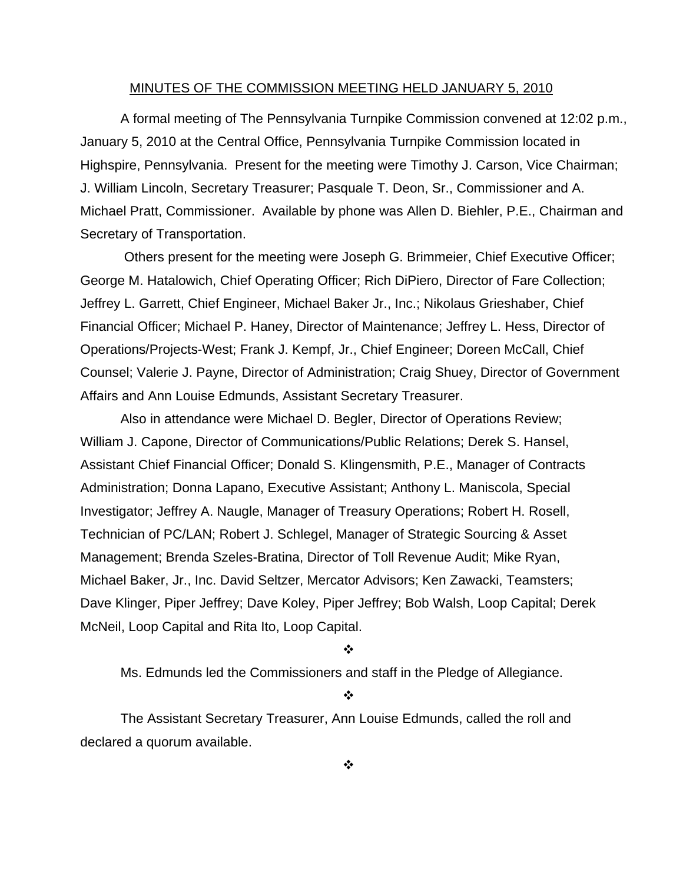#### MINUTES OF THE COMMISSION MEETING HELD JANUARY 5, 2010

 A formal meeting of The Pennsylvania Turnpike Commission convened at 12:02 p.m., January 5, 2010 at the Central Office, Pennsylvania Turnpike Commission located in Highspire, Pennsylvania. Present for the meeting were Timothy J. Carson, Vice Chairman; J. William Lincoln, Secretary Treasurer; Pasquale T. Deon, Sr., Commissioner and A. Michael Pratt, Commissioner. Available by phone was Allen D. Biehler, P.E., Chairman and Secretary of Transportation.

 Others present for the meeting were Joseph G. Brimmeier, Chief Executive Officer; George M. Hatalowich, Chief Operating Officer; Rich DiPiero, Director of Fare Collection; Jeffrey L. Garrett, Chief Engineer, Michael Baker Jr., Inc.; Nikolaus Grieshaber, Chief Financial Officer; Michael P. Haney, Director of Maintenance; Jeffrey L. Hess, Director of Operations/Projects-West; Frank J. Kempf, Jr., Chief Engineer; Doreen McCall, Chief Counsel; Valerie J. Payne, Director of Administration; Craig Shuey, Director of Government Affairs and Ann Louise Edmunds, Assistant Secretary Treasurer.

Also in attendance were Michael D. Begler, Director of Operations Review; William J. Capone, Director of Communications/Public Relations; Derek S. Hansel, Assistant Chief Financial Officer; Donald S. Klingensmith, P.E., Manager of Contracts Administration; Donna Lapano, Executive Assistant; Anthony L. Maniscola, Special Investigator; Jeffrey A. Naugle, Manager of Treasury Operations; Robert H. Rosell, Technician of PC/LAN; Robert J. Schlegel, Manager of Strategic Sourcing & Asset Management; Brenda Szeles-Bratina, Director of Toll Revenue Audit; Mike Ryan, Michael Baker, Jr., Inc. David Seltzer, Mercator Advisors; Ken Zawacki, Teamsters; Dave Klinger, Piper Jeffrey; Dave Koley, Piper Jeffrey; Bob Walsh, Loop Capital; Derek McNeil, Loop Capital and Rita Ito, Loop Capital.

#### $\mathbf{r}$

Ms. Edmunds led the Commissioners and staff in the Pledge of Allegiance.

#### $\frac{1}{2}$

The Assistant Secretary Treasurer, Ann Louise Edmunds, called the roll and declared a quorum available.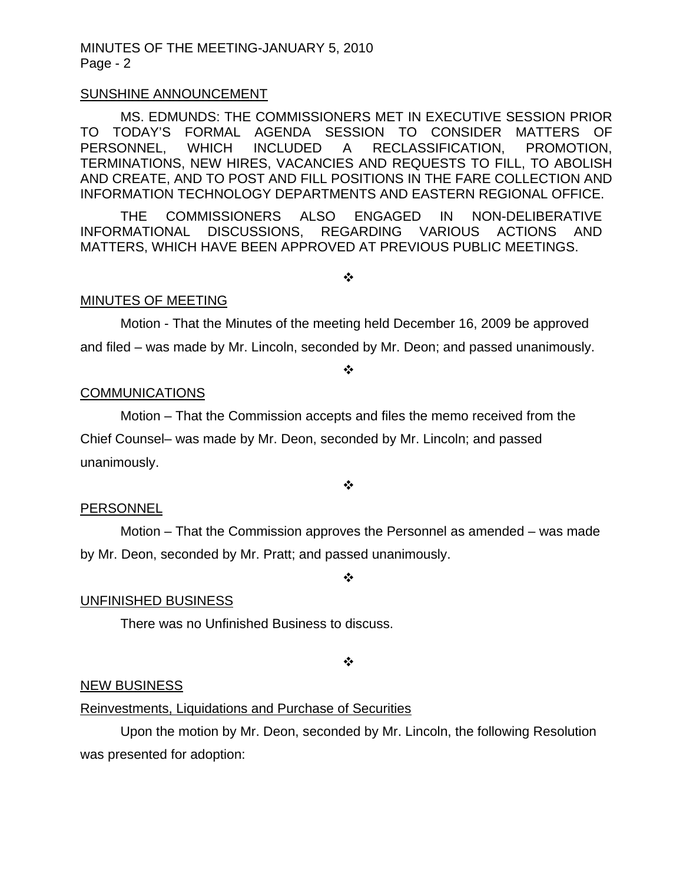#### SUNSHINE ANNOUNCEMENT

MS. EDMUNDS: THE COMMISSIONERS MET IN EXECUTIVE SESSION PRIOR TO TODAY'S FORMAL AGENDA SESSION TO CONSIDER MATTERS OF PERSONNEL, WHICH INCLUDED A RECLASSIFICATION, PROMOTION, TERMINATIONS, NEW HIRES, VACANCIES AND REQUESTS TO FILL, TO ABOLISH AND CREATE, AND TO POST AND FILL POSITIONS IN THE FARE COLLECTION AND INFORMATION TECHNOLOGY DEPARTMENTS AND EASTERN REGIONAL OFFICE.

THE COMMISSIONERS ALSO ENGAGED IN NON-DELIBERATIVE INFORMATIONAL DISCUSSIONS, REGARDING VARIOUS ACTIONS AND MATTERS, WHICH HAVE BEEN APPROVED AT PREVIOUS PUBLIC MEETINGS.

 $\frac{1}{2}$ 

#### MINUTES OF MEETING

Motion - That the Minutes of the meeting held December 16, 2009 be approved and filed – was made by Mr. Lincoln, seconded by Mr. Deon; and passed unanimously.

❖

#### **COMMUNICATIONS**

 Motion – That the Commission accepts and files the memo received from the Chief Counsel– was made by Mr. Deon, seconded by Mr. Lincoln; and passed unanimously.

❖

#### **PERSONNEL**

 Motion – That the Commission approves the Personnel as amended – was made by Mr. Deon, seconded by Mr. Pratt; and passed unanimously.

❖

## UNFINISHED BUSINESS

There was no Unfinished Business to discuss.

❖

#### NEW BUSINESS

#### Reinvestments, Liquidations and Purchase of Securities

 Upon the motion by Mr. Deon, seconded by Mr. Lincoln, the following Resolution was presented for adoption: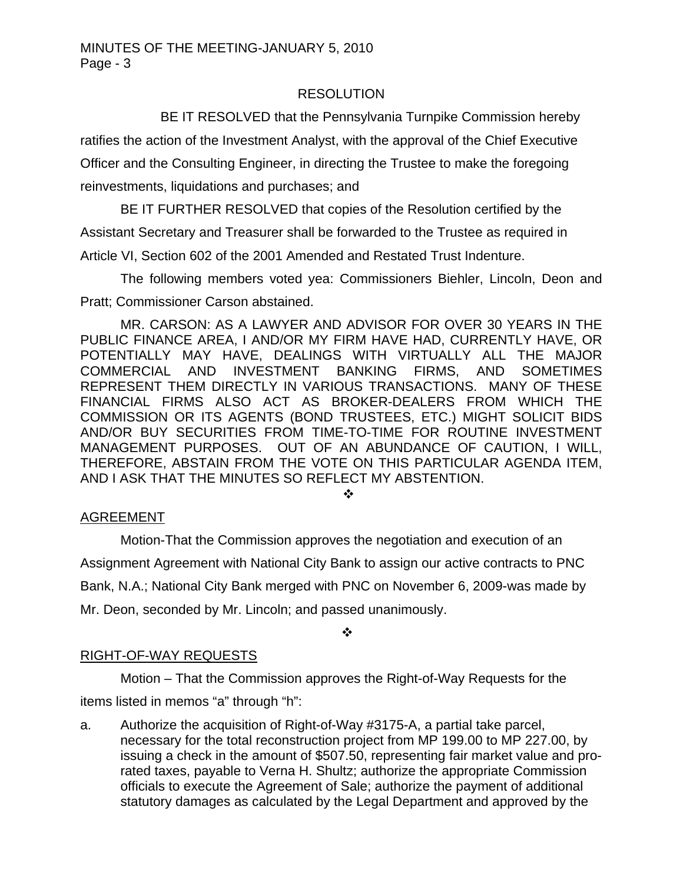## **RESOLUTION**

BE IT RESOLVED that the Pennsylvania Turnpike Commission hereby

ratifies the action of the Investment Analyst, with the approval of the Chief Executive Officer and the Consulting Engineer, in directing the Trustee to make the foregoing reinvestments, liquidations and purchases; and

 BE IT FURTHER RESOLVED that copies of the Resolution certified by the Assistant Secretary and Treasurer shall be forwarded to the Trustee as required in Article VI, Section 602 of the 2001 Amended and Restated Trust Indenture.

The following members voted yea: Commissioners Biehler, Lincoln, Deon and Pratt; Commissioner Carson abstained.

MR. CARSON: AS A LAWYER AND ADVISOR FOR OVER 30 YEARS IN THE PUBLIC FINANCE AREA, I AND/OR MY FIRM HAVE HAD, CURRENTLY HAVE, OR POTENTIALLY MAY HAVE, DEALINGS WITH VIRTUALLY ALL THE MAJOR COMMERCIAL AND INVESTMENT BANKING FIRMS, AND SOMETIMES REPRESENT THEM DIRECTLY IN VARIOUS TRANSACTIONS. MANY OF THESE FINANCIAL FIRMS ALSO ACT AS BROKER-DEALERS FROM WHICH THE COMMISSION OR ITS AGENTS (BOND TRUSTEES, ETC.) MIGHT SOLICIT BIDS AND/OR BUY SECURITIES FROM TIME-TO-TIME FOR ROUTINE INVESTMENT MANAGEMENT PURPOSES. OUT OF AN ABUNDANCE OF CAUTION, I WILL, THEREFORE, ABSTAIN FROM THE VOTE ON THIS PARTICULAR AGENDA ITEM, AND I ASK THAT THE MINUTES SO REFLECT MY ABSTENTION.

 $\frac{1}{2}$ 

# AGREEMENT

Motion-That the Commission approves the negotiation and execution of an Assignment Agreement with National City Bank to assign our active contracts to PNC Bank, N.A.; National City Bank merged with PNC on November 6, 2009-was made by Mr. Deon, seconded by Mr. Lincoln; and passed unanimously.

❖

# RIGHT-OF-WAY REQUESTS

 Motion – That the Commission approves the Right-of-Way Requests for the items listed in memos "a" through "h":

a. Authorize the acquisition of Right-of-Way #3175-A, a partial take parcel, necessary for the total reconstruction project from MP 199.00 to MP 227.00, by issuing a check in the amount of \$507.50, representing fair market value and prorated taxes, payable to Verna H. Shultz; authorize the appropriate Commission officials to execute the Agreement of Sale; authorize the payment of additional statutory damages as calculated by the Legal Department and approved by the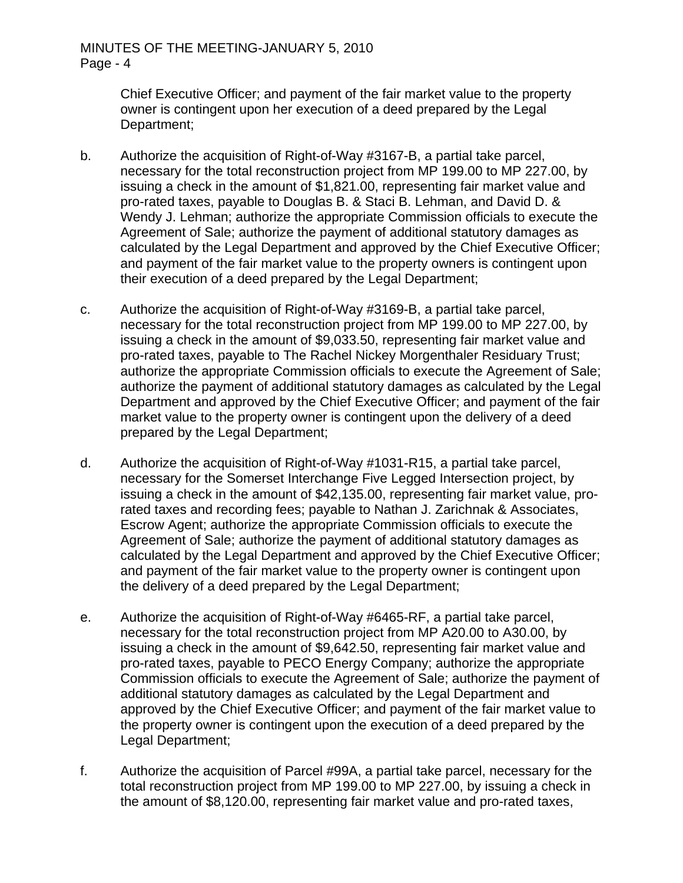Chief Executive Officer; and payment of the fair market value to the property owner is contingent upon her execution of a deed prepared by the Legal Department;

- b. Authorize the acquisition of Right-of-Way #3167-B, a partial take parcel, necessary for the total reconstruction project from MP 199.00 to MP 227.00, by issuing a check in the amount of \$1,821.00, representing fair market value and pro-rated taxes, payable to Douglas B. & Staci B. Lehman, and David D. & Wendy J. Lehman; authorize the appropriate Commission officials to execute the Agreement of Sale; authorize the payment of additional statutory damages as calculated by the Legal Department and approved by the Chief Executive Officer; and payment of the fair market value to the property owners is contingent upon their execution of a deed prepared by the Legal Department;
- c. Authorize the acquisition of Right-of-Way #3169-B, a partial take parcel, necessary for the total reconstruction project from MP 199.00 to MP 227.00, by issuing a check in the amount of \$9,033.50, representing fair market value and pro-rated taxes, payable to The Rachel Nickey Morgenthaler Residuary Trust; authorize the appropriate Commission officials to execute the Agreement of Sale; authorize the payment of additional statutory damages as calculated by the Legal Department and approved by the Chief Executive Officer; and payment of the fair market value to the property owner is contingent upon the delivery of a deed prepared by the Legal Department;
- d. Authorize the acquisition of Right-of-Way #1031-R15, a partial take parcel, necessary for the Somerset Interchange Five Legged Intersection project, by issuing a check in the amount of \$42,135.00, representing fair market value, prorated taxes and recording fees; payable to Nathan J. Zarichnak & Associates, Escrow Agent; authorize the appropriate Commission officials to execute the Agreement of Sale; authorize the payment of additional statutory damages as calculated by the Legal Department and approved by the Chief Executive Officer; and payment of the fair market value to the property owner is contingent upon the delivery of a deed prepared by the Legal Department;
- e. Authorize the acquisition of Right-of-Way #6465-RF, a partial take parcel, necessary for the total reconstruction project from MP A20.00 to A30.00, by issuing a check in the amount of \$9,642.50, representing fair market value and pro-rated taxes, payable to PECO Energy Company; authorize the appropriate Commission officials to execute the Agreement of Sale; authorize the payment of additional statutory damages as calculated by the Legal Department and approved by the Chief Executive Officer; and payment of the fair market value to the property owner is contingent upon the execution of a deed prepared by the Legal Department;
- f. Authorize the acquisition of Parcel #99A, a partial take parcel, necessary for the total reconstruction project from MP 199.00 to MP 227.00, by issuing a check in the amount of \$8,120.00, representing fair market value and pro-rated taxes,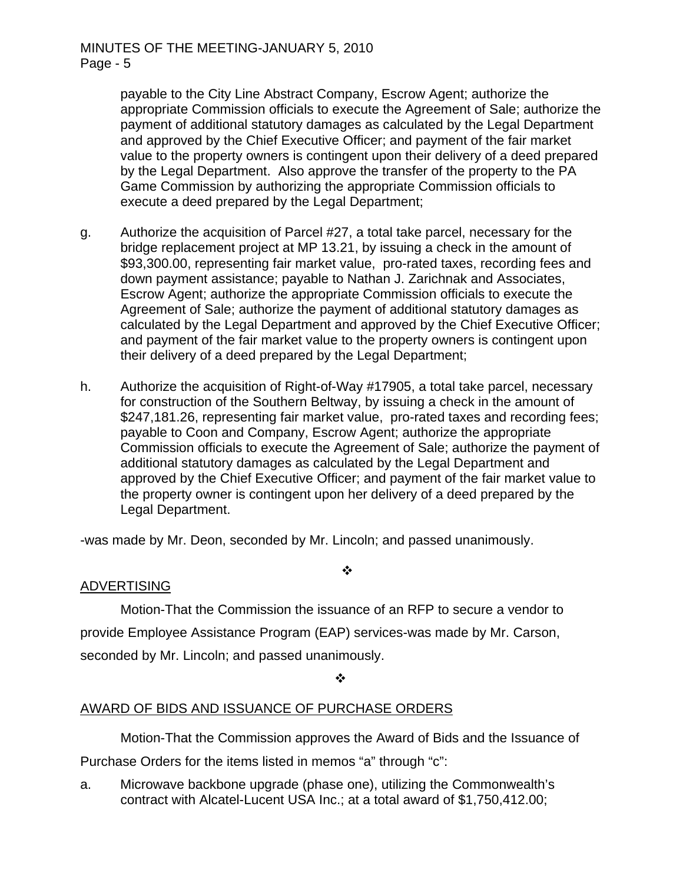payable to the City Line Abstract Company, Escrow Agent; authorize the appropriate Commission officials to execute the Agreement of Sale; authorize the payment of additional statutory damages as calculated by the Legal Department and approved by the Chief Executive Officer; and payment of the fair market value to the property owners is contingent upon their delivery of a deed prepared by the Legal Department. Also approve the transfer of the property to the PA Game Commission by authorizing the appropriate Commission officials to execute a deed prepared by the Legal Department;

- g. Authorize the acquisition of Parcel #27, a total take parcel, necessary for the bridge replacement project at MP 13.21, by issuing a check in the amount of \$93,300.00, representing fair market value, pro-rated taxes, recording fees and down payment assistance; payable to Nathan J. Zarichnak and Associates, Escrow Agent; authorize the appropriate Commission officials to execute the Agreement of Sale; authorize the payment of additional statutory damages as calculated by the Legal Department and approved by the Chief Executive Officer; and payment of the fair market value to the property owners is contingent upon their delivery of a deed prepared by the Legal Department;
- h. Authorize the acquisition of Right-of-Way #17905, a total take parcel, necessary for construction of the Southern Beltway, by issuing a check in the amount of \$247,181.26, representing fair market value, pro-rated taxes and recording fees; payable to Coon and Company, Escrow Agent; authorize the appropriate Commission officials to execute the Agreement of Sale; authorize the payment of additional statutory damages as calculated by the Legal Department and approved by the Chief Executive Officer; and payment of the fair market value to the property owner is contingent upon her delivery of a deed prepared by the Legal Department.

-was made by Mr. Deon, seconded by Mr. Lincoln; and passed unanimously.

## ADVERTISING

Motion-That the Commission the issuance of an RFP to secure a vendor to provide Employee Assistance Program (EAP) services-was made by Mr. Carson, seconded by Mr. Lincoln; and passed unanimously.

 $\cdot$ 

 $\ddot{\cdot}$ 

# AWARD OF BIDS AND ISSUANCE OF PURCHASE ORDERS

Motion-That the Commission approves the Award of Bids and the Issuance of

Purchase Orders for the items listed in memos "a" through "c":

a. Microwave backbone upgrade (phase one), utilizing the Commonwealth's contract with Alcatel-Lucent USA Inc.; at a total award of \$1,750,412.00;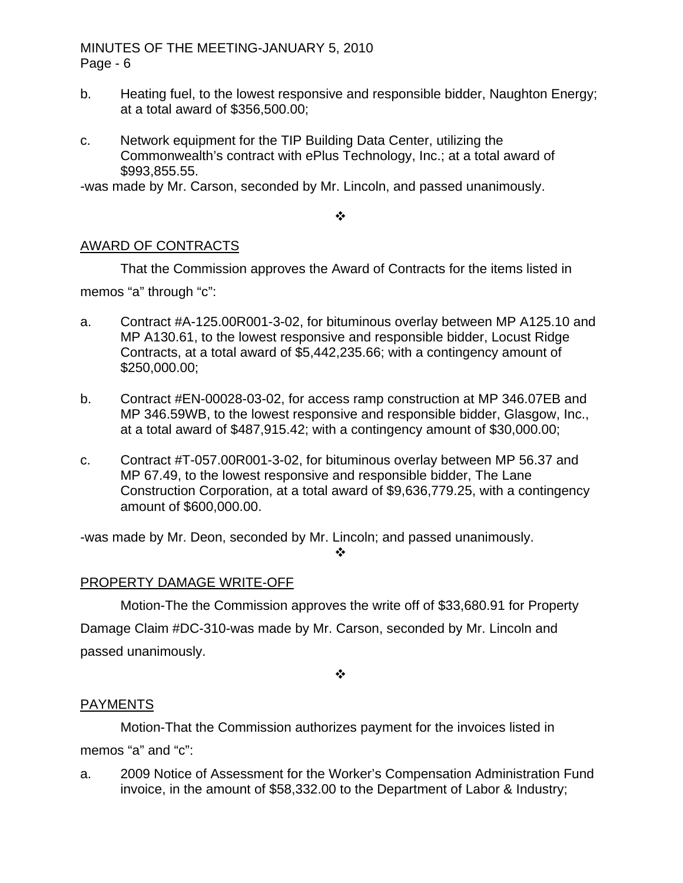- b. Heating fuel, to the lowest responsive and responsible bidder, Naughton Energy; at a total award of \$356,500.00;
- c. Network equipment for the TIP Building Data Center, utilizing the Commonwealth's contract with ePlus Technology, Inc.; at a total award of \$993,855.55.

-was made by Mr. Carson, seconded by Mr. Lincoln, and passed unanimously.

 $\frac{1}{2}$ 

## AWARD OF CONTRACTS

 That the Commission approves the Award of Contracts for the items listed in memos "a" through "c":

- a. Contract #A-125.00R001-3-02, for bituminous overlay between MP A125.10 and MP A130.61, to the lowest responsive and responsible bidder, Locust Ridge Contracts, at a total award of \$5,442,235.66; with a contingency amount of \$250,000.00;
- b. Contract #EN-00028-03-02, for access ramp construction at MP 346.07EB and MP 346.59WB, to the lowest responsive and responsible bidder, Glasgow, Inc., at a total award of \$487,915.42; with a contingency amount of \$30,000.00;
- c. Contract #T-057.00R001-3-02, for bituminous overlay between MP 56.37 and MP 67.49, to the lowest responsive and responsible bidder, The Lane Construction Corporation, at a total award of \$9,636,779.25, with a contingency amount of \$600,000.00.

-was made by Mr. Deon, seconded by Mr. Lincoln; and passed unanimously.

❖

# PROPERTY DAMAGE WRITE-OFF

 Motion-The the Commission approves the write off of \$33,680.91 for Property Damage Claim #DC-310-was made by Mr. Carson, seconded by Mr. Lincoln and passed unanimously.

 $\cdot$ 

## PAYMENTS

 Motion-That the Commission authorizes payment for the invoices listed in memos "a" and "c":

a. 2009 Notice of Assessment for the Worker's Compensation Administration Fund invoice, in the amount of \$58,332.00 to the Department of Labor & Industry;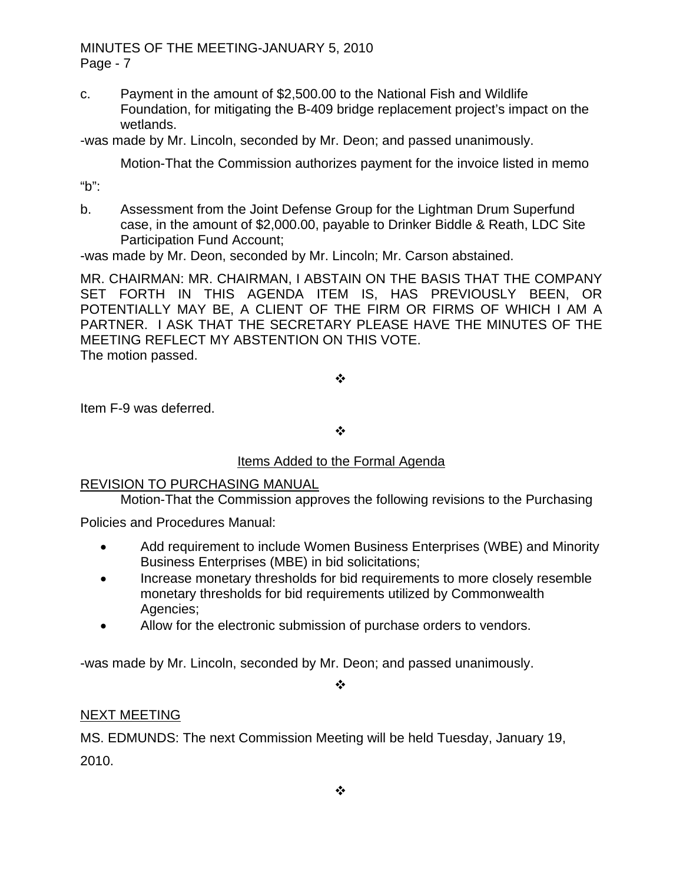c. Payment in the amount of \$2,500.00 to the National Fish and Wildlife Foundation, for mitigating the B-409 bridge replacement project's impact on the wetlands.

-was made by Mr. Lincoln, seconded by Mr. Deon; and passed unanimously.

Motion-That the Commission authorizes payment for the invoice listed in memo

"b":

b. Assessment from the Joint Defense Group for the Lightman Drum Superfund case, in the amount of \$2,000.00, payable to Drinker Biddle & Reath, LDC Site Participation Fund Account;

-was made by Mr. Deon, seconded by Mr. Lincoln; Mr. Carson abstained.

MR. CHAIRMAN: MR. CHAIRMAN, I ABSTAIN ON THE BASIS THAT THE COMPANY SET FORTH IN THIS AGENDA ITEM IS, HAS PREVIOUSLY BEEN, OR POTENTIALLY MAY BE, A CLIENT OF THE FIRM OR FIRMS OF WHICH I AM A PARTNER. I ASK THAT THE SECRETARY PLEASE HAVE THE MINUTES OF THE MEETING REFLECT MY ABSTENTION ON THIS VOTE. The motion passed.

 $\cdot$ 

Item F-9 was deferred.

 $\cdot$ 

# Items Added to the Formal Agenda

## REVISION TO PURCHASING MANUAL

Motion-That the Commission approves the following revisions to the Purchasing

Policies and Procedures Manual:

- Add requirement to include Women Business Enterprises (WBE) and Minority Business Enterprises (MBE) in bid solicitations;
- Increase monetary thresholds for bid requirements to more closely resemble monetary thresholds for bid requirements utilized by Commonwealth Agencies;
- Allow for the electronic submission of purchase orders to vendors.

-was made by Mr. Lincoln, seconded by Mr. Deon; and passed unanimously.

❖

# NEXT MEETING

MS. EDMUNDS: The next Commission Meeting will be held Tuesday, January 19, 2010.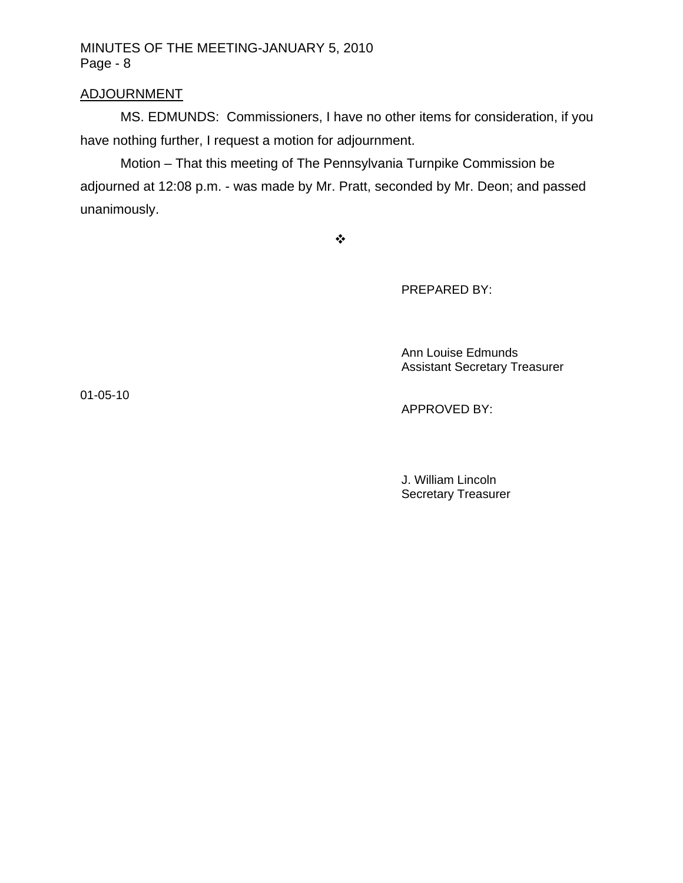## ADJOURNMENT

MS. EDMUNDS: Commissioners, I have no other items for consideration, if you have nothing further, I request a motion for adjournment.

Motion – That this meeting of The Pennsylvania Turnpike Commission be adjourned at 12:08 p.m. - was made by Mr. Pratt, seconded by Mr. Deon; and passed unanimously.

 $\ddot{\psi}$ 

PREPARED BY:

 Ann Louise Edmunds Assistant Secretary Treasurer

01-05-10

APPROVED BY:

 J. William Lincoln Secretary Treasurer